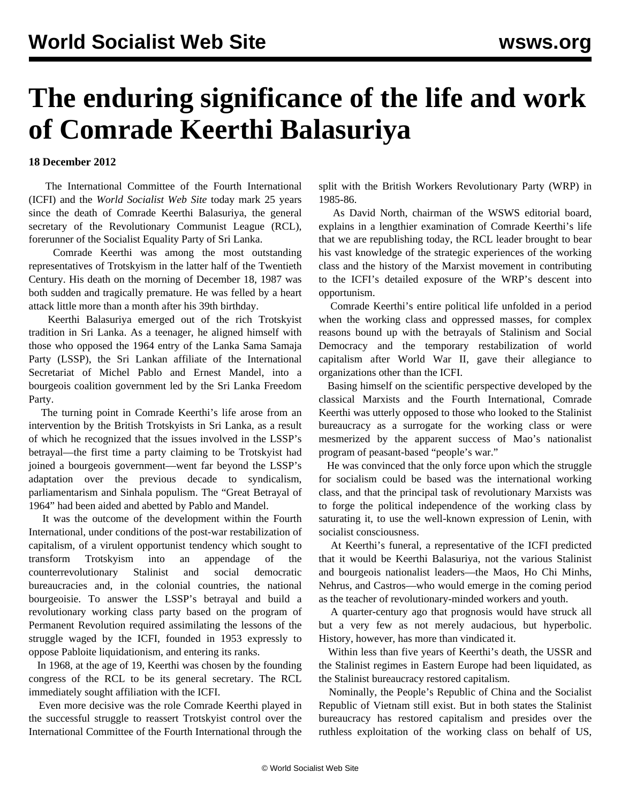## **The enduring significance of the life and work of Comrade Keerthi Balasuriya**

## **18 December 2012**

 The International Committee of the Fourth International (ICFI) and the *World Socialist Web Site* today mark 25 years since the death of Comrade Keerthi Balasuriya, the general secretary of the Revolutionary Communist League (RCL), forerunner of the Socialist Equality Party of Sri Lanka.

 Comrade Keerthi was among the most outstanding representatives of Trotskyism in the latter half of the Twentieth Century. His death on the morning of December 18, 1987 was both sudden and tragically premature. He was felled by a heart attack little more than a month after his 39th birthday.

 Keerthi Balasuriya emerged out of the rich Trotskyist tradition in Sri Lanka. As a teenager, he aligned himself with those who opposed the 1964 entry of the Lanka Sama Samaja Party (LSSP), the Sri Lankan affiliate of the International Secretariat of Michel Pablo and Ernest Mandel, into a bourgeois coalition government led by the Sri Lanka Freedom Party.

 The turning point in Comrade Keerthi's life arose from an intervention by the British Trotskyists in Sri Lanka, as a result of which he recognized that the issues involved in the LSSP's betrayal—the first time a party claiming to be Trotskyist had joined a bourgeois government—went far beyond the LSSP's adaptation over the previous decade to syndicalism, parliamentarism and Sinhala populism. The "Great Betrayal of 1964" had been aided and abetted by Pablo and Mandel.

 It was the outcome of the development within the Fourth International, under conditions of the post-war restabilization of capitalism, of a virulent opportunist tendency which sought to transform Trotskyism into an appendage of the counterrevolutionary Stalinist and social democratic bureaucracies and, in the colonial countries, the national bourgeoisie. To answer the LSSP's betrayal and build a revolutionary working class party based on the program of Permanent Revolution required assimilating the lessons of the struggle waged by the ICFI, founded in 1953 expressly to oppose Pabloite liquidationism, and entering its ranks.

 In 1968, at the age of 19, Keerthi was chosen by the founding congress of the RCL to be its general secretary. The RCL immediately sought affiliation with the ICFI.

 Even more decisive was the role Comrade Keerthi played in the successful struggle to reassert Trotskyist control over the International Committee of the Fourth International through the

split with the British Workers Revolutionary Party (WRP) in 1985-86.

 As David North, chairman of the WSWS editorial board, explains in a lengthier examination of Comrade Keerthi's life that we are republishing today, the RCL leader brought to bear his vast knowledge of the strategic experiences of the working class and the history of the Marxist movement in contributing to the ICFI's detailed exposure of the WRP's descent into opportunism.

 Comrade Keerthi's entire political life unfolded in a period when the working class and oppressed masses, for complex reasons bound up with the betrayals of Stalinism and Social Democracy and the temporary restabilization of world capitalism after World War II, gave their allegiance to organizations other than the ICFI.

 Basing himself on the scientific perspective developed by the classical Marxists and the Fourth International, Comrade Keerthi was utterly opposed to those who looked to the Stalinist bureaucracy as a surrogate for the working class or were mesmerized by the apparent success of Mao's nationalist program of peasant-based "people's war."

 He was convinced that the only force upon which the struggle for socialism could be based was the international working class, and that the principal task of revolutionary Marxists was to forge the political independence of the working class by saturating it, to use the well-known expression of Lenin, with socialist consciousness.

 At Keerthi's funeral, a representative of the ICFI predicted that it would be Keerthi Balasuriya, not the various Stalinist and bourgeois nationalist leaders—the Maos, Ho Chi Minhs, Nehrus, and Castros—who would emerge in the coming period as the teacher of revolutionary-minded workers and youth.

 A quarter-century ago that prognosis would have struck all but a very few as not merely audacious, but hyperbolic. History, however, has more than vindicated it.

 Within less than five years of Keerthi's death, the USSR and the Stalinist regimes in Eastern Europe had been liquidated, as the Stalinist bureaucracy restored capitalism.

 Nominally, the People's Republic of China and the Socialist Republic of Vietnam still exist. But in both states the Stalinist bureaucracy has restored capitalism and presides over the ruthless exploitation of the working class on behalf of US,